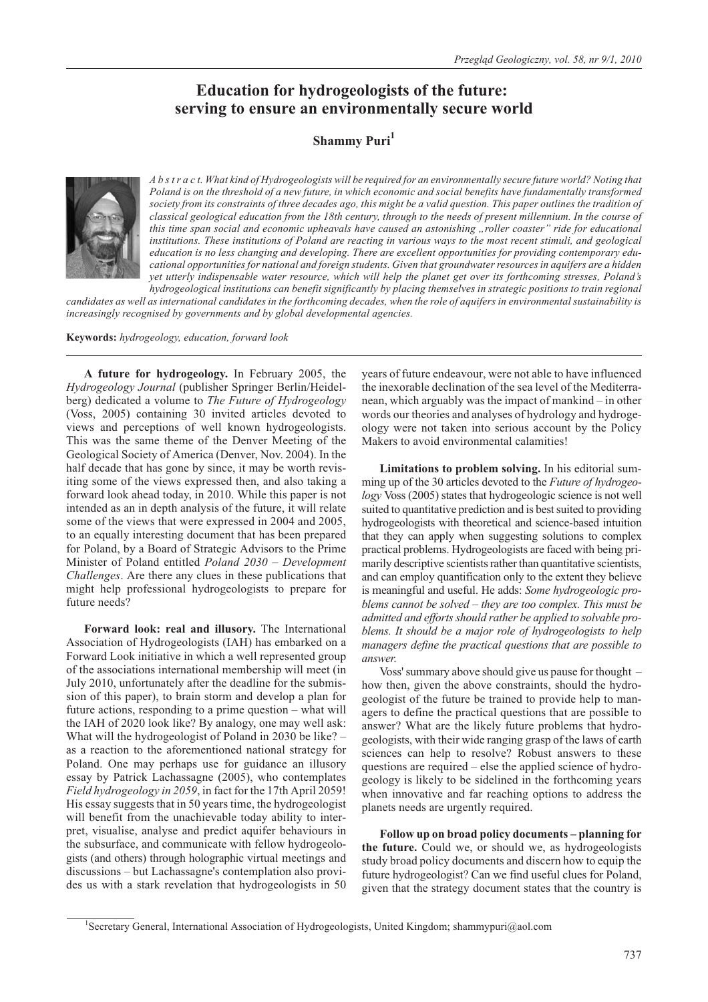# **Education for hydrogeologists of the future: serving to ensure an environmentally secure world**

# **Shammy Puri<sup>1</sup>**



*A b s t r a c t. What kind of Hydrogeologists will be required for an environmentally secure future world? Noting that Poland is on the threshold of a new future, in which economic and social benefits have fundamentally transformed society from its constraints of three decades ago, this might be a valid question. This paper outlines the tradition of classical geological education from the 18th century, through to the needs of present millennium. In the course of this time span social and economic upheavals have caused an astonishing "roller coaster" ride for educational institutions. These institutions of Poland are reacting in various ways to the most recent stimuli, and geological education is no less changing and developing. There are excellent opportunities for providing contemporary educational opportunities for national and foreign students. Given that groundwater resources in aquifers are a hidden yet utterly indispensable water resource, which will help the planet get over its forthcoming stresses, Poland's hydrogeological institutions can benefit significantly by placing themselves in strategic positions to train regional*

*candidates as well as international candidates in the forthcoming decades, when the role of aquifers in environmental sustainability is increasingly recognised by governments and by global developmental agencies.*

**Keywords:** *hydrogeology, education, forward look*

**A future for hydrogeology.** In February 2005, the *Hydrogeology Journal* (publisher Springer Berlin/Heidelberg) dedicated a volume to *The Future of Hydrogeology* (Voss, 2005) containing 30 invited articles devoted to views and perceptions of well known hydrogeologists. This was the same theme of the Denver Meeting of the Geological Society of America (Denver, Nov. 2004). In the half decade that has gone by since, it may be worth revisiting some of the views expressed then, and also taking a forward look ahead today, in 2010. While this paper is not intended as an in depth analysis of the future, it will relate some of the views that were expressed in 2004 and 2005, to an equally interesting document that has been prepared for Poland, by a Board of Strategic Advisors to the Prime Minister of Poland entitled *Poland 2030 – Development Challenges*. Are there any clues in these publications that might help professional hydrogeologists to prepare for future needs?

**Forward look: real and illusory.** The International Association of Hydrogeologists (IAH) has embarked on a Forward Look initiative in which a well represented group of the associations international membership will meet (in July 2010, unfortunately after the deadline for the submission of this paper), to brain storm and develop a plan for future actions, responding to a prime question – what will the IAH of 2020 look like? By analogy, one may well ask: What will the hydrogeologist of Poland in 2030 be like? – as a reaction to the aforementioned national strategy for Poland. One may perhaps use for guidance an illusory essay by Patrick Lachassagne (2005), who contemplates *Field hydrogeology in 2059*, in fact for the 17th April 2059! His essay suggests that in 50 years time, the hydrogeologist will benefit from the unachievable today ability to interpret, visualise, analyse and predict aquifer behaviours in the subsurface, and communicate with fellow hydrogeologists (and others) through holographic virtual meetings and discussions – but Lachassagne's contemplation also provides us with a stark revelation that hydrogeologists in 50

years of future endeavour, were not able to have influenced the inexorable declination of the sea level of the Mediterranean, which arguably was the impact of mankind – in other words our theories and analyses of hydrology and hydrogeology were not taken into serious account by the Policy Makers to avoid environmental calamities!

**Limitations to problem solving.** In his editorial summing up of the 30 articles devoted to the *Future of hydrogeology* Voss (2005) states that hydrogeologic science is not well suited to quantitative prediction and is best suited to providing hydrogeologists with theoretical and science-based intuition that they can apply when suggesting solutions to complex practical problems. Hydrogeologists are faced with being primarily descriptive scientists rather than quantitative scientists, and can employ quantification only to the extent they believe is meaningful and useful. He adds: *Some hydrogeologic problems cannot be solved – they are too complex. This must be admitted and efforts should rather be applied to solvable problems. It should be a major role of hydrogeologists to help managers define the practical questions that are possible to answer*.

Voss' summary above should give us pause for thought – how then, given the above constraints, should the hydrogeologist of the future be trained to provide help to managers to define the practical questions that are possible to answer? What are the likely future problems that hydrogeologists, with their wide ranging grasp of the laws of earth sciences can help to resolve? Robust answers to these questions are required – else the applied science of hydrogeology is likely to be sidelined in the forthcoming years when innovative and far reaching options to address the planets needs are urgently required.

**Follow up on broad policy documents – planning for the future.** Could we, or should we, as hydrogeologists study broad policy documents and discern how to equip the future hydrogeologist? Can we find useful clues for Poland, given that the strategy document states that the country is

<sup>&</sup>lt;sup>1</sup>Secretary General, International Association of Hydrogeologists, United Kingdom; shammypuri@aol.com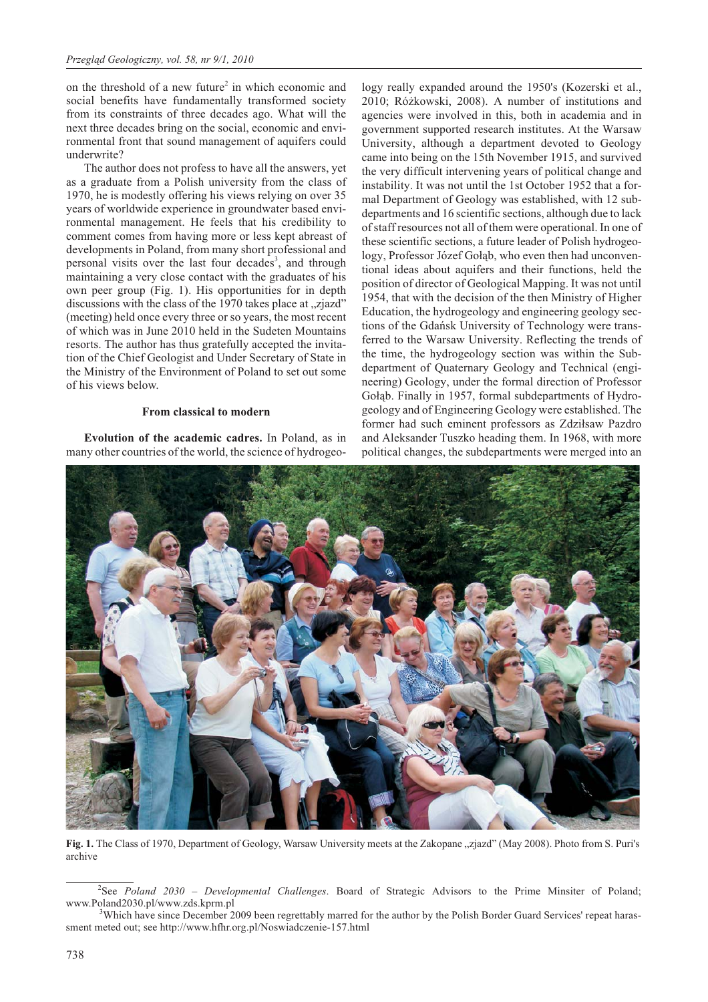on the threshold of a new future<sup>2</sup> in which economic and social benefits have fundamentally transformed society from its constraints of three decades ago. What will the next three decades bring on the social, economic and environmental front that sound management of aquifers could underwrite?

The author does not profess to have all the answers, yet as a graduate from a Polish university from the class of 1970, he is modestly offering his views relying on over 35 years of worldwide experience in groundwater based environmental management. He feels that his credibility to comment comes from having more or less kept abreast of developments in Poland, from many short professional and personal visits over the last four decades<sup>3</sup>, and through maintaining a very close contact with the graduates of his own peer group (Fig. 1). His opportunities for in depth discussions with the class of the  $1970$  takes place at "zjazd" (meeting) held once every three or so years, the most recent of which was in June 2010 held in the Sudeten Mountains resorts. The author has thus gratefully accepted the invitation of the Chief Geologist and Under Secretary of State in the Ministry of the Environment of Poland to set out some of his views below.

# **From classical to modern**

**Evolution of the academic cadres.** In Poland, as in many other countries of the world, the science of hydrogeology really expanded around the 1950's (Kozerski et al., 2010; Ró¿kowski, 2008). A number of institutions and agencies were involved in this, both in academia and in government supported research institutes. At the Warsaw University, although a department devoted to Geology came into being on the 15th November 1915, and survived the very difficult intervening years of political change and instability. It was not until the 1st October 1952 that a formal Department of Geology was established, with 12 subdepartments and 16 scientific sections, although due to lack of staff resources not all of them were operational. In one of these scientific sections, a future leader of Polish hydrogeology, Professor Józef Gołąb, who even then had unconventional ideas about aquifers and their functions, held the position of director of Geological Mapping. It was not until 1954, that with the decision of the then Ministry of Higher Education, the hydrogeology and engineering geology sections of the Gdañsk University of Technology were transferred to the Warsaw University. Reflecting the trends of the time, the hydrogeology section was within the Subdepartment of Quaternary Geology and Technical (engineering) Geology, under the formal direction of Professor Gołąb. Finally in 1957, formal subdepartments of Hydrogeology and of Engineering Geology were established. The former had such eminent professors as Zdziłsaw Pazdro and Aleksander Tuszko heading them. In 1968, with more political changes, the subdepartments were merged into an



Fig. 1. The Class of 1970, Department of Geology, Warsaw University meets at the Zakopane "zjazd" (May 2008). Photo from S. Puri's archive

<sup>&</sup>lt;sup>2</sup>See *Poland 2030 – Developmental Challenges*. Board of Strategic Advisors to the Prime Minsiter of Poland; www.Poland2030.pl/www.zds.kprm.pl

Which have since December 2009 been regrettably marred for the author by the Polish Border Guard Services' repeat harassment meted out; see http://www.hfhr.org.pl/Noswiadczenie-157.html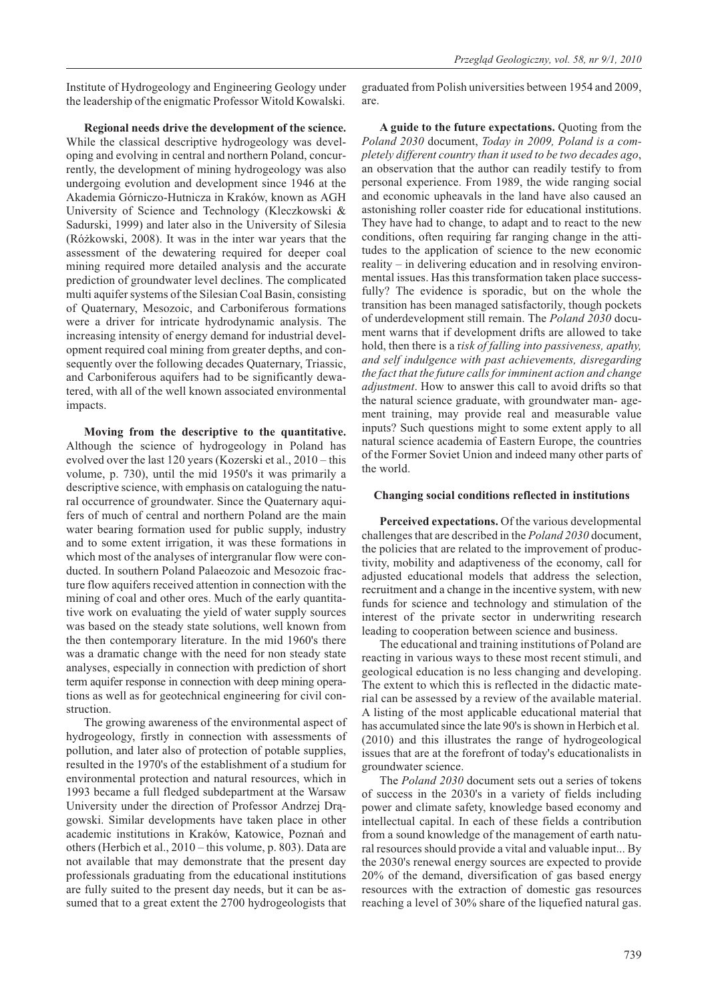Institute of Hydrogeology and Engineering Geology under the leadership of the enigmatic Professor Witold Kowalski.

graduated from Polish universities between 1954 and 2009, are.

**Regional needs drive the development of the science.** While the classical descriptive hydrogeology was developing and evolving in central and northern Poland, concurrently, the development of mining hydrogeology was also undergoing evolution and development since 1946 at the Akademia Górniczo-Hutnicza in Kraków, known as AGH University of Science and Technology (Kleczkowski & Sadurski, 1999) and later also in the University of Silesia (Ró¿kowski, 2008). It was in the inter war years that the assessment of the dewatering required for deeper coal mining required more detailed analysis and the accurate prediction of groundwater level declines. The complicated multi aquifer systems of the Silesian Coal Basin, consisting of Quaternary, Mesozoic, and Carboniferous formations were a driver for intricate hydrodynamic analysis. The increasing intensity of energy demand for industrial development required coal mining from greater depths, and consequently over the following decades Quaternary, Triassic, and Carboniferous aquifers had to be significantly dewatered, with all of the well known associated environmental impacts.

**Moving from the descriptive to the quantitative.** Although the science of hydrogeology in Poland has evolved over the last 120 years (Kozerski et al., 2010 – this volume, p. 730), until the mid 1950's it was primarily a descriptive science, with emphasis on cataloguing the natural occurrence of groundwater. Since the Quaternary aquifers of much of central and northern Poland are the main water bearing formation used for public supply, industry and to some extent irrigation, it was these formations in which most of the analyses of intergranular flow were conducted. In southern Poland Palaeozoic and Mesozoic fracture flow aquifers received attention in connection with the mining of coal and other ores. Much of the early quantitative work on evaluating the yield of water supply sources was based on the steady state solutions, well known from the then contemporary literature. In the mid 1960's there was a dramatic change with the need for non steady state analyses, especially in connection with prediction of short term aquifer response in connection with deep mining operations as well as for geotechnical engineering for civil construction.

The growing awareness of the environmental aspect of hydrogeology, firstly in connection with assessments of pollution, and later also of protection of potable supplies, resulted in the 1970's of the establishment of a studium for environmental protection and natural resources, which in 1993 became a full fledged subdepartment at the Warsaw University under the direction of Professor Andrzej Dragowski. Similar developments have taken place in other academic institutions in Kraków, Katowice, Poznañ and others (Herbich et al., 2010 – this volume, p. 803). Data are not available that may demonstrate that the present day professionals graduating from the educational institutions are fully suited to the present day needs, but it can be assumed that to a great extent the 2700 hydrogeologists that

**A guide to the future expectations.** Quoting from the *Poland 2030* document, *Today in 2009, Poland is a completely different country than it used to be two decades ago*, an observation that the author can readily testify to from personal experience. From 1989, the wide ranging social and economic upheavals in the land have also caused an astonishing roller coaster ride for educational institutions. They have had to change, to adapt and to react to the new conditions, often requiring far ranging change in the attitudes to the application of science to the new economic reality – in delivering education and in resolving environmental issues. Has this transformation taken place successfully? The evidence is sporadic, but on the whole the transition has been managed satisfactorily, though pockets of underdevelopment still remain. The *Poland 2030* document warns that if development drifts are allowed to take hold, then there is a r*isk of falling into passiveness, apathy, and self indulgence with past achievements, disregarding the fact that the future calls for imminent action and change adjustment*. How to answer this call to avoid drifts so that the natural science graduate, with groundwater man- agement training, may provide real and measurable value inputs? Such questions might to some extent apply to all natural science academia of Eastern Europe, the countries of the Former Soviet Union and indeed many other parts of the world.

#### **Changing social conditions reflected in institutions**

**Perceived expectations.** Of the various developmental challenges that are described in the *Poland 2030* document, the policies that are related to the improvement of productivity, mobility and adaptiveness of the economy, call for adjusted educational models that address the selection, recruitment and a change in the incentive system, with new funds for science and technology and stimulation of the interest of the private sector in underwriting research leading to cooperation between science and business.

The educational and training institutions of Poland are reacting in various ways to these most recent stimuli, and geological education is no less changing and developing. The extent to which this is reflected in the didactic material can be assessed by a review of the available material. A listing of the most applicable educational material that has accumulated since the late 90's is shown in Herbich et al. (2010) and this illustrates the range of hydrogeological issues that are at the forefront of today's educationalists in groundwater science.

The *Poland 2030* document sets out a series of tokens of success in the 2030's in a variety of fields including power and climate safety, knowledge based economy and intellectual capital. In each of these fields a contribution from a sound knowledge of the management of earth natural resources should provide a vital and valuable input... By the 2030's renewal energy sources are expected to provide 20% of the demand, diversification of gas based energy resources with the extraction of domestic gas resources reaching a level of 30% share of the liquefied natural gas.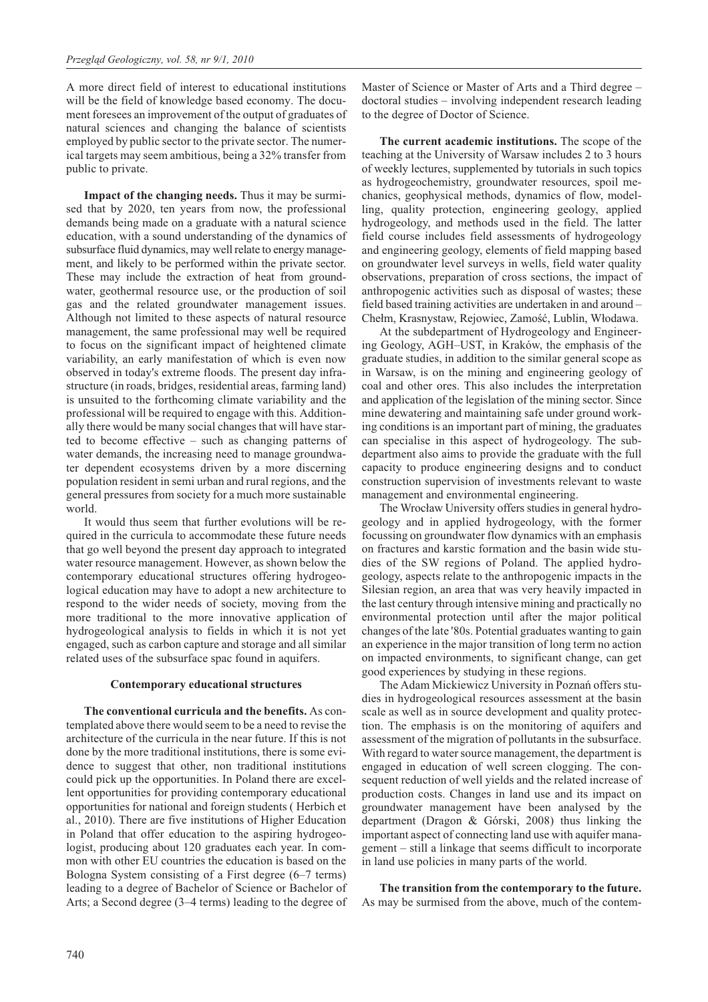A more direct field of interest to educational institutions will be the field of knowledge based economy. The document foresees an improvement of the output of graduates of natural sciences and changing the balance of scientists employed by public sector to the private sector. The numerical targets may seem ambitious, being a 32% transfer from public to private.

**Impact of the changing needs.** Thus it may be surmised that by 2020, ten years from now, the professional demands being made on a graduate with a natural science education, with a sound understanding of the dynamics of subsurface fluid dynamics, may well relate to energy management, and likely to be performed within the private sector. These may include the extraction of heat from groundwater, geothermal resource use, or the production of soil gas and the related groundwater management issues. Although not limited to these aspects of natural resource management, the same professional may well be required to focus on the significant impact of heightened climate variability, an early manifestation of which is even now observed in today's extreme floods. The present day infrastructure (in roads, bridges, residential areas, farming land) is unsuited to the forthcoming climate variability and the professional will be required to engage with this. Additionally there would be many social changes that will have started to become effective – such as changing patterns of water demands, the increasing need to manage groundwater dependent ecosystems driven by a more discerning population resident in semi urban and rural regions, and the general pressures from society for a much more sustainable world.

It would thus seem that further evolutions will be required in the curricula to accommodate these future needs that go well beyond the present day approach to integrated water resource management. However, as shown below the contemporary educational structures offering hydrogeological education may have to adopt a new architecture to respond to the wider needs of society, moving from the more traditional to the more innovative application of hydrogeological analysis to fields in which it is not yet engaged, such as carbon capture and storage and all similar related uses of the subsurface spac found in aquifers.

#### **Contemporary educational structures**

**The conventional curricula and the benefits.** As contemplated above there would seem to be a need to revise the architecture of the curricula in the near future. If this is not done by the more traditional institutions, there is some evidence to suggest that other, non traditional institutions could pick up the opportunities. In Poland there are excellent opportunities for providing contemporary educational opportunities for national and foreign students ( Herbich et al., 2010). There are five institutions of Higher Education in Poland that offer education to the aspiring hydrogeologist, producing about 120 graduates each year. In common with other EU countries the education is based on the Bologna System consisting of a First degree (6–7 terms) leading to a degree of Bachelor of Science or Bachelor of Arts; a Second degree (3–4 terms) leading to the degree of Master of Science or Master of Arts and a Third degree – doctoral studies – involving independent research leading to the degree of Doctor of Science.

**The current academic institutions.** The scope of the teaching at the University of Warsaw includes 2 to 3 hours of weekly lectures, supplemented by tutorials in such topics as hydrogeochemistry, groundwater resources, spoil mechanics, geophysical methods, dynamics of flow, modelling, quality protection, engineering geology, applied hydrogeology, and methods used in the field. The latter field course includes field assessments of hydrogeology and engineering geology, elements of field mapping based on groundwater level surveys in wells, field water quality observations, preparation of cross sections, the impact of anthropogenic activities such as disposal of wastes; these field based training activities are undertaken in and around – Chełm, Krasnystaw, Rejowiec, Zamość, Lublin, Włodawa.

At the subdepartment of Hydrogeology and Engineering Geology, AGH–UST, in Kraków, the emphasis of the graduate studies, in addition to the similar general scope as in Warsaw, is on the mining and engineering geology of coal and other ores. This also includes the interpretation and application of the legislation of the mining sector. Since mine dewatering and maintaining safe under ground working conditions is an important part of mining, the graduates can specialise in this aspect of hydrogeology. The subdepartment also aims to provide the graduate with the full capacity to produce engineering designs and to conduct construction supervision of investments relevant to waste management and environmental engineering.

The Wrocław University offers studies in general hydrogeology and in applied hydrogeology, with the former focussing on groundwater flow dynamics with an emphasis on fractures and karstic formation and the basin wide studies of the SW regions of Poland. The applied hydrogeology, aspects relate to the anthropogenic impacts in the Silesian region, an area that was very heavily impacted in the last century through intensive mining and practically no environmental protection until after the major political changes of the late '80s. Potential graduates wanting to gain an experience in the major transition of long term no action on impacted environments, to significant change, can get good experiences by studying in these regions.

The Adam Mickiewicz University in Poznañ offers studies in hydrogeological resources assessment at the basin scale as well as in source development and quality protection. The emphasis is on the monitoring of aquifers and assessment of the migration of pollutants in the subsurface. With regard to water source management, the department is engaged in education of well screen clogging. The consequent reduction of well yields and the related increase of production costs. Changes in land use and its impact on groundwater management have been analysed by the department (Dragon & Górski, 2008) thus linking the important aspect of connecting land use with aquifer management – still a linkage that seems difficult to incorporate in land use policies in many parts of the world.

**The transition from the contemporary to the future.** As may be surmised from the above, much of the contem-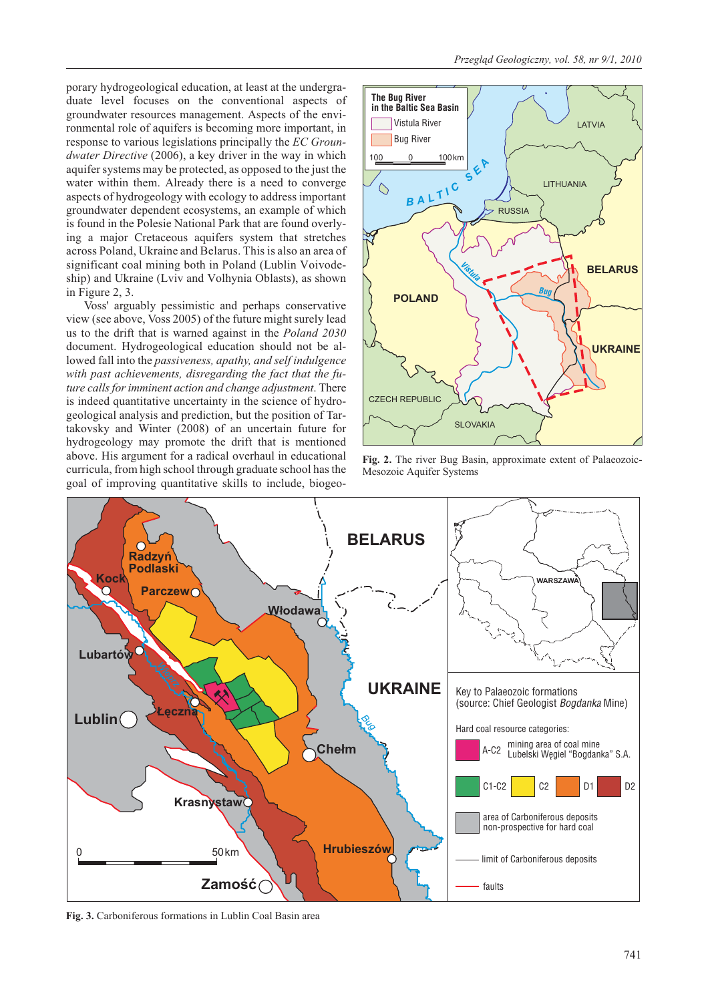porary hydrogeological education, at least at the undergraduate level focuses on the conventional aspects of groundwater resources management. Aspects of the environmental role of aquifers is becoming more important, in response to various legislations principally the *EC Groundwater Directive* (2006), a key driver in the way in which aquifer systems may be protected, as opposed to the just the water within them. Already there is a need to converge aspects of hydrogeology with ecology to address important groundwater dependent ecosystems, an example of which is found in the Polesie National Park that are found overlying a major Cretaceous aquifers system that stretches across Poland, Ukraine and Belarus. This is also an area of significant coal mining both in Poland (Lublin Voivodeship) and Ukraine (Lviv and Volhynia Oblasts), as shown in Figure 2, 3.

Voss' arguably pessimistic and perhaps conservative view (see above, Voss 2005) of the future might surely lead us to the drift that is warned against in the *Poland 2030* document. Hydrogeological education should not be allowed fall into the *passiveness, apathy, and self indulgence with past achievements, disregarding the fact that the future calls for imminent action and change adjustment*. There is indeed quantitative uncertainty in the science of hydrogeological analysis and prediction, but the position of Tartakovsky and Winter (2008) of an uncertain future for hydrogeology may promote the drift that is mentioned above. His argument for a radical overhaul in educational curricula, from high school through graduate school has the goal of improving quantitative skills to include, biogeo-



**Fig. 2.** The river Bug Basin, approximate extent of Palaeozoic-Mesozoic Aquifer Systems



**Fig. 3.** Carboniferous formations in Lublin Coal Basin area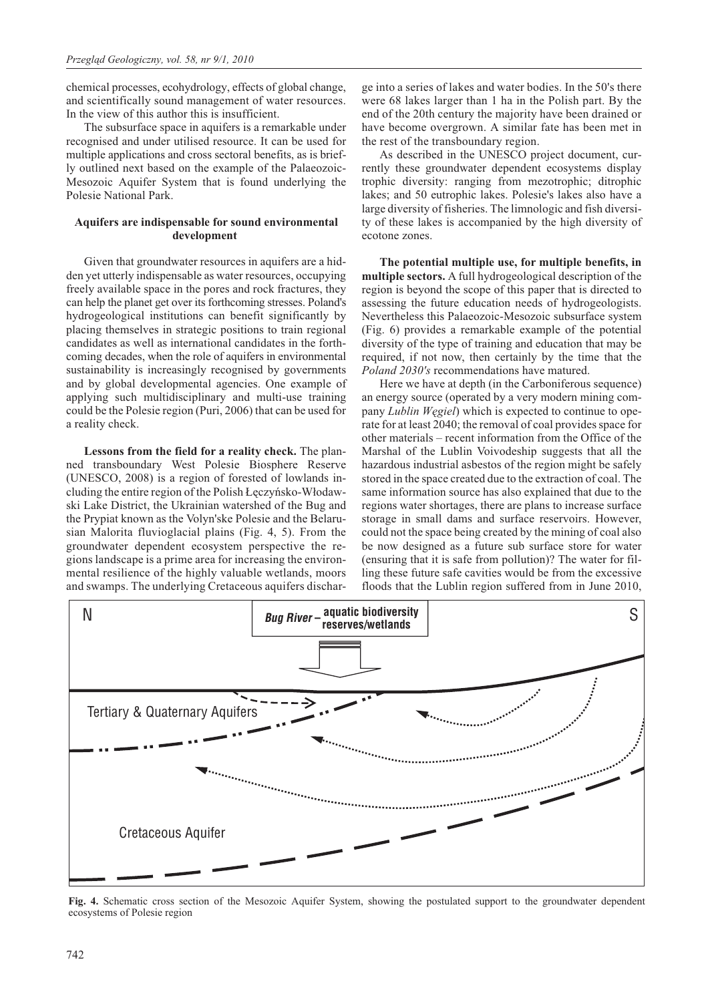chemical processes, ecohydrology, effects of global change, and scientifically sound management of water resources. In the view of this author this is insufficient.

The subsurface space in aquifers is a remarkable under recognised and under utilised resource. It can be used for multiple applications and cross sectoral benefits, as is briefly outlined next based on the example of the Palaeozoic-Mesozoic Aquifer System that is found underlying the Polesie National Park.

### **Aquifers are indispensable for sound environmental development**

Given that groundwater resources in aquifers are a hidden yet utterly indispensable as water resources, occupying freely available space in the pores and rock fractures, they can help the planet get over its forthcoming stresses. Poland's hydrogeological institutions can benefit significantly by placing themselves in strategic positions to train regional candidates as well as international candidates in the forthcoming decades, when the role of aquifers in environmental sustainability is increasingly recognised by governments and by global developmental agencies. One example of applying such multidisciplinary and multi-use training could be the Polesie region (Puri, 2006) that can be used for a reality check.

**Lessons from the field for a reality check.** The planned transboundary West Polesie Biosphere Reserve (UNESCO, 2008) is a region of forested of lowlands including the entire region of the Polish Łęczyńsko-Włodawski Lake District, the Ukrainian watershed of the Bug and the Prypiat known as the Volyn'ske Polesie and the Belarusian Malorita fluvioglacial plains (Fig. 4, 5). From the groundwater dependent ecosystem perspective the regions landscape is a prime area for increasing the environmental resilience of the highly valuable wetlands, moors and swamps. The underlying Cretaceous aquifers discharge into a series of lakes and water bodies. In the 50's there were 68 lakes larger than 1 ha in the Polish part. By the end of the 20th century the majority have been drained or have become overgrown. A similar fate has been met in the rest of the transboundary region.

As described in the UNESCO project document, currently these groundwater dependent ecosystems display trophic diversity: ranging from mezotrophic; ditrophic lakes; and 50 eutrophic lakes. Polesie's lakes also have a large diversity of fisheries. The limnologic and fish diversity of these lakes is accompanied by the high diversity of ecotone zones.

**The potential multiple use, for multiple benefits, in multiple sectors.** A full hydrogeological description of the region is beyond the scope of this paper that is directed to assessing the future education needs of hydrogeologists. Nevertheless this Palaeozoic-Mesozoic subsurface system (Fig. 6) provides a remarkable example of the potential diversity of the type of training and education that may be required, if not now, then certainly by the time that the *Poland 2030's* recommendations have matured.

Here we have at depth (in the Carboniferous sequence) an energy source (operated by a very modern mining company *Lublin Wêgiel*) which is expected to continue to operate for at least 2040; the removal of coal provides space for other materials – recent information from the Office of the Marshal of the Lublin Voivodeship suggests that all the hazardous industrial asbestos of the region might be safely stored in the space created due to the extraction of coal. The same information source has also explained that due to the regions water shortages, there are plans to increase surface storage in small dams and surface reservoirs. However, could not the space being created by the mining of coal also be now designed as a future sub surface store for water (ensuring that it is safe from pollution)? The water for filling these future safe cavities would be from the excessive floods that the Lublin region suffered from in June 2010,



**Fig. 4.** Schematic cross section of the Mesozoic Aquifer System, showing the postulated support to the groundwater dependent ecosystems of Polesie region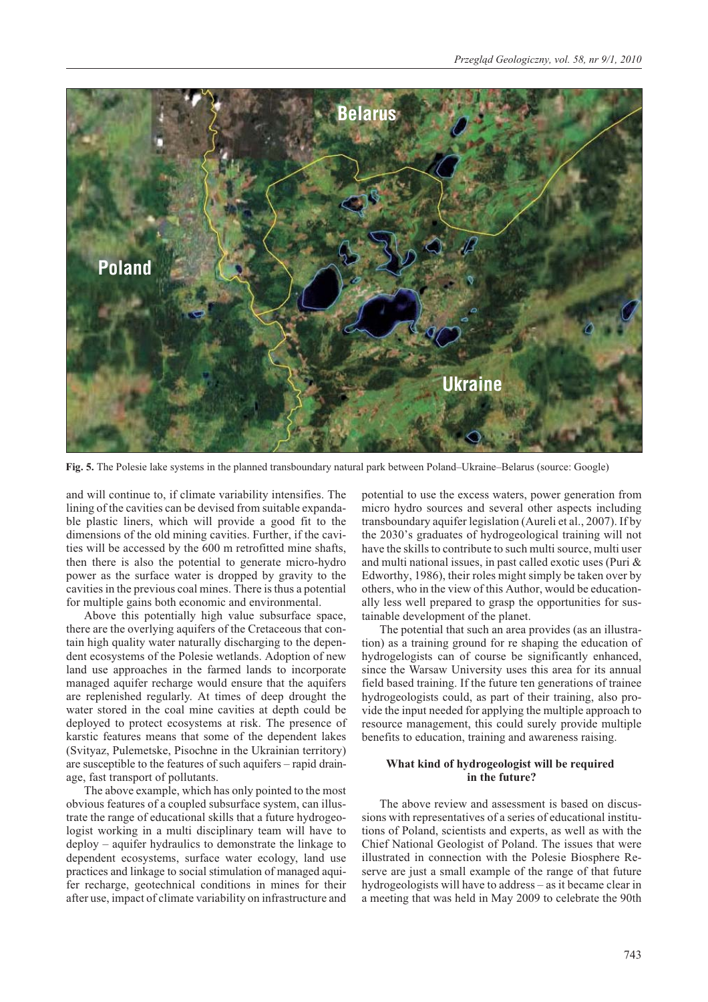

**Fig. 5.** The Polesie lake systems in the planned transboundary natural park between Poland–Ukraine–Belarus (source: Google)

and will continue to, if climate variability intensifies. The lining of the cavities can be devised from suitable expandable plastic liners, which will provide a good fit to the dimensions of the old mining cavities. Further, if the cavities will be accessed by the 600 m retrofitted mine shafts, then there is also the potential to generate micro-hydro power as the surface water is dropped by gravity to the cavities in the previous coal mines. There is thus a potential for multiple gains both economic and environmental.

Above this potentially high value subsurface space, there are the overlying aquifers of the Cretaceous that contain high quality water naturally discharging to the dependent ecosystems of the Polesie wetlands. Adoption of new land use approaches in the farmed lands to incorporate managed aquifer recharge would ensure that the aquifers are replenished regularly. At times of deep drought the water stored in the coal mine cavities at depth could be deployed to protect ecosystems at risk. The presence of karstic features means that some of the dependent lakes (Svityaz, Pulemetske, Pisochne in the Ukrainian territory) are susceptible to the features of such aquifers – rapid drainage, fast transport of pollutants.

The above example, which has only pointed to the most obvious features of a coupled subsurface system, can illustrate the range of educational skills that a future hydrogeologist working in a multi disciplinary team will have to deploy – aquifer hydraulics to demonstrate the linkage to dependent ecosystems, surface water ecology, land use practices and linkage to social stimulation of managed aquifer recharge, geotechnical conditions in mines for their after use, impact of climate variability on infrastructure and potential to use the excess waters, power generation from micro hydro sources and several other aspects including transboundary aquifer legislation (Aureli et al., 2007). If by the 2030's graduates of hydrogeological training will not have the skills to contribute to such multi source, multi user and multi national issues, in past called exotic uses (Puri & Edworthy, 1986), their roles might simply be taken over by others, who in the view of this Author, would be educationally less well prepared to grasp the opportunities for sustainable development of the planet.

The potential that such an area provides (as an illustration) as a training ground for re shaping the education of hydrogelogists can of course be significantly enhanced, since the Warsaw University uses this area for its annual field based training. If the future ten generations of trainee hydrogeologists could, as part of their training, also provide the input needed for applying the multiple approach to resource management, this could surely provide multiple benefits to education, training and awareness raising.

# **What kind of hydrogeologist will be required in the future?**

The above review and assessment is based on discussions with representatives of a series of educational institutions of Poland, scientists and experts, as well as with the Chief National Geologist of Poland. The issues that were illustrated in connection with the Polesie Biosphere Reserve are just a small example of the range of that future hydrogeologists will have to address – as it became clear in a meeting that was held in May 2009 to celebrate the 90th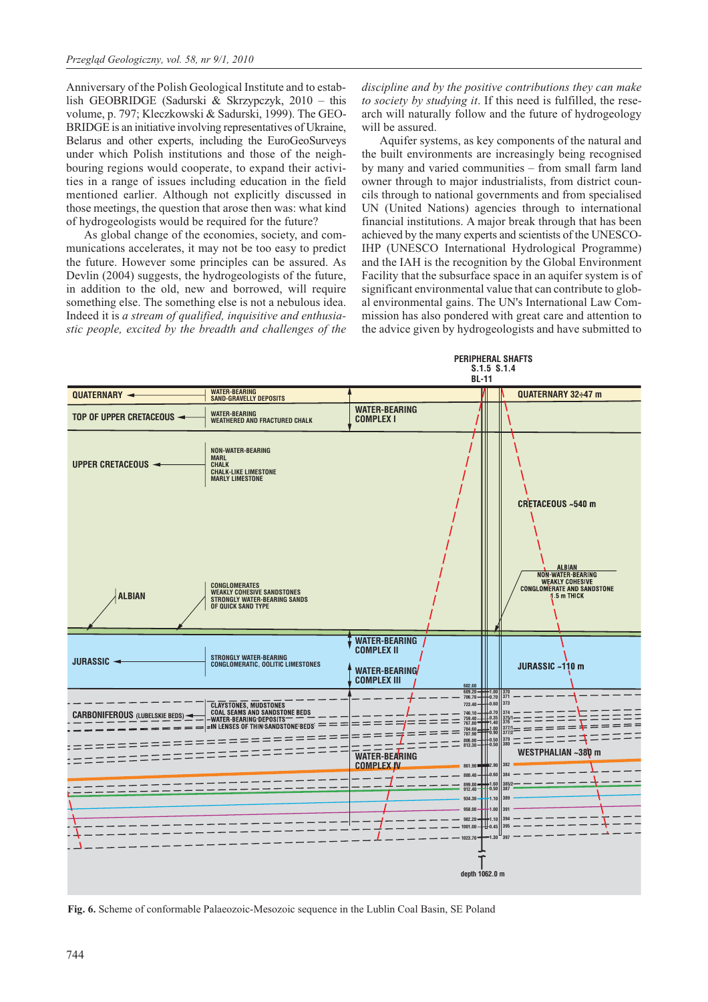Anniversary of the Polish Geological Institute and to establish GEOBRIDGE (Sadurski & Skrzypczyk, 2010 – this volume, p. 797; Kleczkowski & Sadurski, 1999). The GEO-BRIDGE is an initiative involving representatives of Ukraine, Belarus and other experts, including the EuroGeoSurveys under which Polish institutions and those of the neighbouring regions would cooperate, to expand their activities in a range of issues including education in the field mentioned earlier. Although not explicitly discussed in those meetings, the question that arose then was: what kind of hydrogeologists would be required for the future?

As global change of the economies, society, and communications accelerates, it may not be too easy to predict the future. However some principles can be assured. As Devlin (2004) suggests, the hydrogeologists of the future, in addition to the old, new and borrowed, will require something else. The something else is not a nebulous idea. Indeed it is *a stream of qualified, inquisitive and enthusiastic people, excited by the breadth and challenges of the*

*discipline and by the positive contributions they can make to society by studying it*. If this need is fulfilled, the research will naturally follow and the future of hydrogeology will be assured.

Aquifer systems, as key components of the natural and the built environments are increasingly being recognised by many and varied communities – from small farm land owner through to major industrialists, from district councils through to national governments and from specialised UN (United Nations) agencies through to international financial institutions. A major break through that has been achieved by the many experts and scientists of the UNESCO-IHP (UNESCO International Hydrological Programme) and the IAH is the recognition by the Global Environment Facility that the subsurface space in an aquifer system is of significant environmental value that can contribute to global environmental gains. The UN's International Law Commission has also pondered with great care and attention to the advice given by hydrogeologists and have submitted to



**Fig. 6.** Scheme of conformable Palaeozoic-Mesozoic sequence in the Lublin Coal Basin, SE Poland